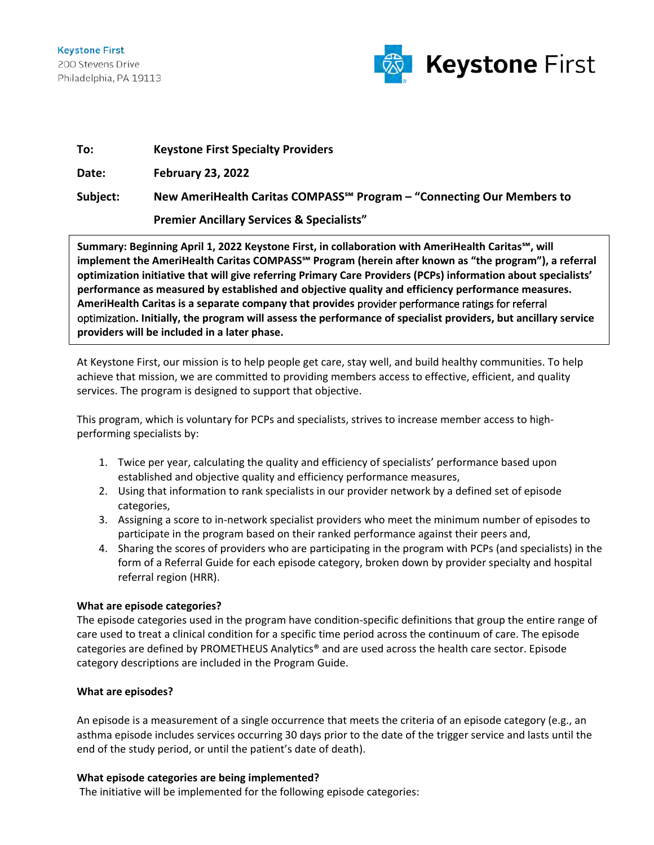

| To:      | <b>Keystone First Specialty Providers</b>                                          |
|----------|------------------------------------------------------------------------------------|
| Date:    | <b>February 23, 2022</b>                                                           |
| Subject: | New AmeriHealth Caritas COMPASS <sup>5M</sup> Program – "Connecting Our Members to |
|          | <b>Premier Ancillary Services &amp; Specialists"</b>                               |

**Summary: Beginning April 1, 2022 Keystone First, in collaboration with AmeriHealth Caritas℠, will implement the AmeriHealth Caritas COMPASS℠ Program (herein after known as "the program"), a referral optimization initiative that will give referring Primary Care Providers (PCPs) information about specialists' performance as measured by established and objective quality and efficiency performance measures. AmeriHealth Caritas is a separate company that provides** provider performance ratings for referral optimization**. Initially, the program will assess the performance of specialist providers, but ancillary service providers will be included in a later phase.**

At Keystone First, our mission is to help people get care, stay well, and build healthy communities. To help achieve that mission, we are committed to providing members access to effective, efficient, and quality services. The program is designed to support that objective.

This program, which is voluntary for PCPs and specialists, strives to increase member access to highperforming specialists by:

- 1. Twice per year, calculating the quality and efficiency of specialists' performance based upon established and objective quality and efficiency performance measures,
- 2. Using that information to rank specialists in our provider network by a defined set of episode categories,
- 3. Assigning a score to in-network specialist providers who meet the minimum number of episodes to participate in the program based on their ranked performance against their peers and,
- 4. Sharing the scores of providers who are participating in the program with PCPs (and specialists) in the form of a Referral Guide for each episode category, broken down by provider specialty and hospital referral region (HRR).

# **What are episode categories?**

The episode categories used in the program have condition-specific definitions that group the entire range of care used to treat a clinical condition for a specific time period across the continuum of care. The episode categories are defined by PROMETHEUS Analytics® and are used across the health care sector. Episode category descriptions are included in the Program Guide.

## **What are episodes?**

An episode is a measurement of a single occurrence that meets the criteria of an episode category (e.g., an asthma episode includes services occurring 30 days prior to the date of the trigger service and lasts until the end of the study period, or until the patient's date of death).

## **What episode categories are being implemented?**

The initiative will be implemented for the following episode categories: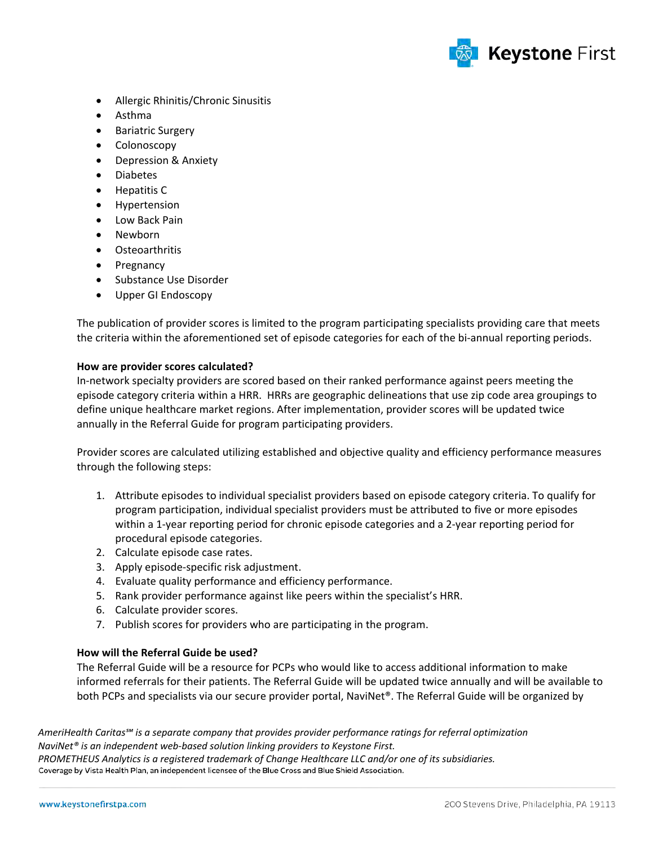

- Allergic Rhinitis/Chronic Sinusitis
- Asthma
- Bariatric Surgery
- Colonoscopy
- Depression & Anxiety
- Diabetes
- Hepatitis C
- Hypertension
- Low Back Pain
- Newborn
- Osteoarthritis
- Pregnancy
- Substance Use Disorder
- Upper GI Endoscopy

The publication of provider scores is limited to the program participating specialists providing care that meets the criteria within the aforementioned set of episode categories for each of the bi-annual reporting periods.

### **How are provider scores calculated?**

In-network specialty providers are scored based on their ranked performance against peers meeting the episode category criteria within a HRR. HRRs are geographic delineations that use zip code area groupings to define unique healthcare market regions. After implementation, provider scores will be updated twice annually in the Referral Guide for program participating providers.

Provider scores are calculated utilizing established and objective quality and efficiency performance measures through the following steps:

- 1. Attribute episodes to individual specialist providers based on episode category criteria. To qualify for program participation, individual specialist providers must be attributed to five or more episodes within a 1-year reporting period for chronic episode categories and a 2-year reporting period for procedural episode categories.
- 2. Calculate episode case rates.
- 3. Apply episode-specific risk adjustment.
- 4. Evaluate quality performance and efficiency performance.
- 5. Rank provider performance against like peers within the specialist's HRR.
- 6. Calculate provider scores.
- 7. Publish scores for providers who are participating in the program.

## **How will the Referral Guide be used?**

The Referral Guide will be a resource for PCPs who would like to access additional information to make informed referrals for their patients. The Referral Guide will be updated twice annually and will be available to both PCPs and specialists via our secure provider portal, NaviNet®. The Referral Guide will be organized by

*AmeriHealth Caritas℠ is a separate company that provides provider performance ratings for referral optimization NaviNet® is an independent web-based solution linking providers to Keystone First. PROMETHEUS Analytics is a registered trademark of Change Healthcare LLC and/or one of its subsidiaries.* Coverage by Vista Health Plan, an independent licensee of the Blue Cross and Blue Shield Association.